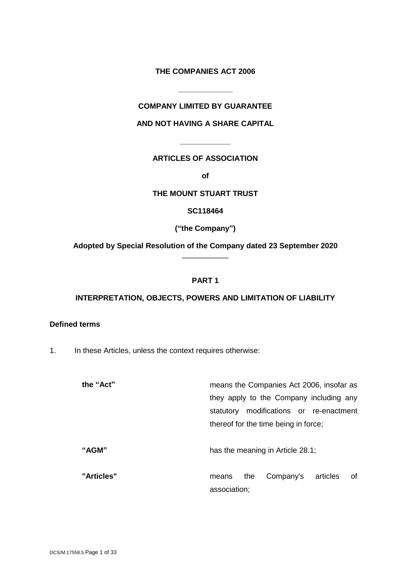## **THE COMPANIES ACT 2006**

## **COMPANY LIMITED BY GUARANTEE**

**\_\_\_\_\_\_\_\_\_\_\_\_\_**

### **AND NOT HAVING A SHARE CAPITAL**

### **ARTICLES OF ASSOCIATION**

**\_\_\_\_\_\_\_\_\_\_\_\_**

**of**

# **THE MOUNT STUART TRUST**

**SC118464**

**("the Company")**

**Adopted by Special Resolution of the Company dated 23 September 2020** \_\_\_\_\_\_\_\_\_\_\_

### **PART 1**

### **INTERPRETATION, OBJECTS, POWERS AND LIMITATION OF LIABILITY**

# **Defined terms**

1. In these Articles, unless the context requires otherwise:

| the "Act"  | means the Companies Act 2006, insofar as                    |
|------------|-------------------------------------------------------------|
|            | they apply to the Company including any                     |
|            | modifications or re-enactment<br>statutory                  |
|            | thereof for the time being in force;                        |
| "AGM"      | has the meaning in Article 28.1;                            |
| "Articles" | 0f<br>Company's<br>articles<br>the<br>means<br>association; |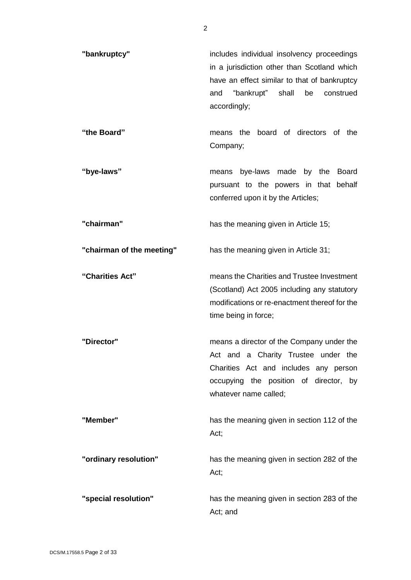| "bankruptcy"              | includes individual insolvency proceedings<br>in a jurisdiction other than Scotland which<br>have an effect similar to that of bankruptcy<br>"bankrupt" shall<br>and<br>be<br>construed<br>accordingly; |
|---------------------------|---------------------------------------------------------------------------------------------------------------------------------------------------------------------------------------------------------|
| "the Board"               | the board of directors of the<br>means<br>Company;                                                                                                                                                      |
| "bye-laws"                | means bye-laws made<br>by the<br><b>Board</b><br>pursuant to the powers in that behalf<br>conferred upon it by the Articles;                                                                            |
| "chairman"                | has the meaning given in Article 15;                                                                                                                                                                    |
| "chairman of the meeting" | has the meaning given in Article 31;                                                                                                                                                                    |
| "Charities Act"           | means the Charities and Trustee Investment<br>(Scotland) Act 2005 including any statutory<br>modifications or re-enactment thereof for the<br>time being in force;                                      |
| "Director"                | means a director of the Company under the<br>Act and a Charity Trustee under the<br>Charities Act and includes any person<br>occupying the position of director, by<br>whatever name called;            |
| "Member"                  | has the meaning given in section 112 of the<br>Act;                                                                                                                                                     |
| "ordinary resolution"     | has the meaning given in section 282 of the<br>Act;                                                                                                                                                     |
| "special resolution"      | has the meaning given in section 283 of the<br>Act; and                                                                                                                                                 |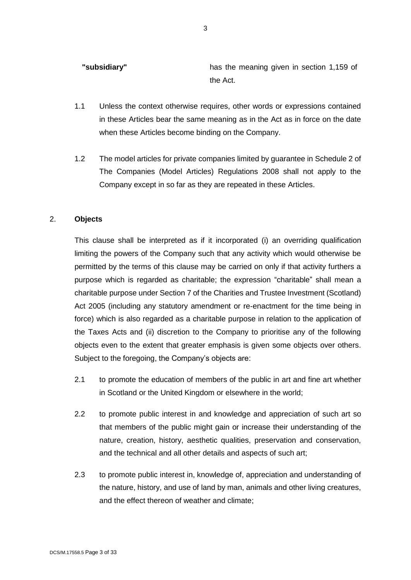**"subsidiary"** has the meaning given in section 1,159 of the Act.

- 1.1 Unless the context otherwise requires, other words or expressions contained in these Articles bear the same meaning as in the Act as in force on the date when these Articles become binding on the Company.
- 1.2 The model articles for private companies limited by guarantee in Schedule 2 of The Companies (Model Articles) Regulations 2008 shall not apply to the Company except in so far as they are repeated in these Articles.

### 2. **Objects**

This clause shall be interpreted as if it incorporated (i) an overriding qualification limiting the powers of the Company such that any activity which would otherwise be permitted by the terms of this clause may be carried on only if that activity furthers a purpose which is regarded as charitable; the expression "charitable" shall mean a charitable purpose under Section 7 of the Charities and Trustee Investment (Scotland) Act 2005 (including any statutory amendment or re-enactment for the time being in force) which is also regarded as a charitable purpose in relation to the application of the Taxes Acts and (ii) discretion to the Company to prioritise any of the following objects even to the extent that greater emphasis is given some objects over others. Subject to the foregoing, the Company's objects are:

- 2.1 to promote the education of members of the public in art and fine art whether in Scotland or the United Kingdom or elsewhere in the world;
- 2.2 to promote public interest in and knowledge and appreciation of such art so that members of the public might gain or increase their understanding of the nature, creation, history, aesthetic qualities, preservation and conservation, and the technical and all other details and aspects of such art;
- 2.3 to promote public interest in, knowledge of, appreciation and understanding of the nature, history, and use of land by man, animals and other living creatures, and the effect thereon of weather and climate;

3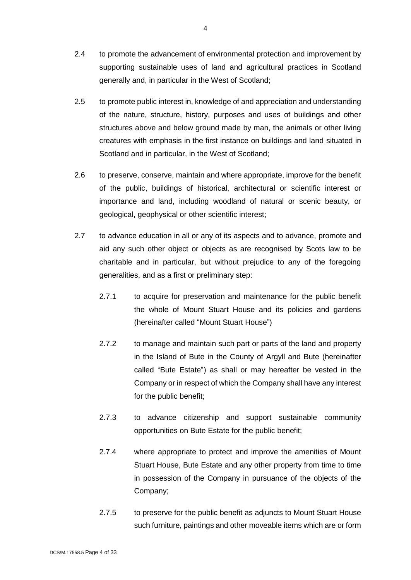- 2.4 to promote the advancement of environmental protection and improvement by supporting sustainable uses of land and agricultural practices in Scotland generally and, in particular in the West of Scotland;
- 2.5 to promote public interest in, knowledge of and appreciation and understanding of the nature, structure, history, purposes and uses of buildings and other structures above and below ground made by man, the animals or other living creatures with emphasis in the first instance on buildings and land situated in Scotland and in particular, in the West of Scotland;
- 2.6 to preserve, conserve, maintain and where appropriate, improve for the benefit of the public, buildings of historical, architectural or scientific interest or importance and land, including woodland of natural or scenic beauty, or geological, geophysical or other scientific interest;
- 2.7 to advance education in all or any of its aspects and to advance, promote and aid any such other object or objects as are recognised by Scots law to be charitable and in particular, but without prejudice to any of the foregoing generalities, and as a first or preliminary step:
	- 2.7.1 to acquire for preservation and maintenance for the public benefit the whole of Mount Stuart House and its policies and gardens (hereinafter called "Mount Stuart House")
	- 2.7.2 to manage and maintain such part or parts of the land and property in the Island of Bute in the County of Argyll and Bute (hereinafter called "Bute Estate") as shall or may hereafter be vested in the Company or in respect of which the Company shall have any interest for the public benefit;
	- 2.7.3 to advance citizenship and support sustainable community opportunities on Bute Estate for the public benefit;
	- 2.7.4 where appropriate to protect and improve the amenities of Mount Stuart House, Bute Estate and any other property from time to time in possession of the Company in pursuance of the objects of the Company;
	- 2.7.5 to preserve for the public benefit as adjuncts to Mount Stuart House such furniture, paintings and other moveable items which are or form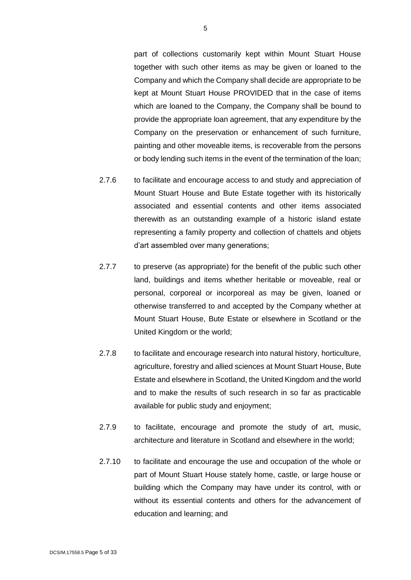part of collections customarily kept within Mount Stuart House together with such other items as may be given or loaned to the Company and which the Company shall decide are appropriate to be kept at Mount Stuart House PROVIDED that in the case of items which are loaned to the Company, the Company shall be bound to provide the appropriate loan agreement, that any expenditure by the Company on the preservation or enhancement of such furniture, painting and other moveable items, is recoverable from the persons or body lending such items in the event of the termination of the loan;

- 2.7.6 to facilitate and encourage access to and study and appreciation of Mount Stuart House and Bute Estate together with its historically associated and essential contents and other items associated therewith as an outstanding example of a historic island estate representing a family property and collection of chattels and objets d'art assembled over many generations;
- 2.7.7 to preserve (as appropriate) for the benefit of the public such other land, buildings and items whether heritable or moveable, real or personal, corporeal or incorporeal as may be given, loaned or otherwise transferred to and accepted by the Company whether at Mount Stuart House, Bute Estate or elsewhere in Scotland or the United Kingdom or the world;
- 2.7.8 to facilitate and encourage research into natural history, horticulture, agriculture, forestry and allied sciences at Mount Stuart House, Bute Estate and elsewhere in Scotland, the United Kingdom and the world and to make the results of such research in so far as practicable available for public study and enjoyment;
- 2.7.9 to facilitate, encourage and promote the study of art, music, architecture and literature in Scotland and elsewhere in the world;
- 2.7.10 to facilitate and encourage the use and occupation of the whole or part of Mount Stuart House stately home, castle, or large house or building which the Company may have under its control, with or without its essential contents and others for the advancement of education and learning; and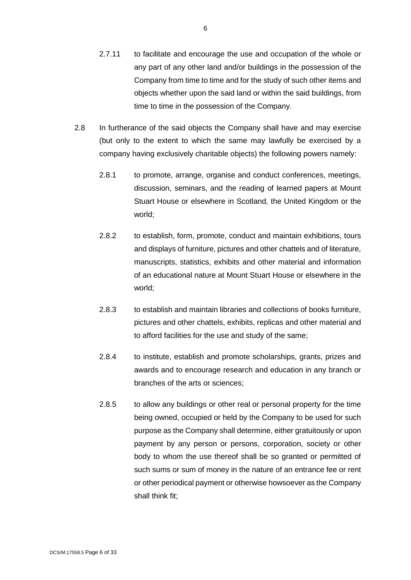- 2.7.11 to facilitate and encourage the use and occupation of the whole or any part of any other land and/or buildings in the possession of the Company from time to time and for the study of such other items and objects whether upon the said land or within the said buildings, from time to time in the possession of the Company.
- 2.8 In furtherance of the said objects the Company shall have and may exercise (but only to the extent to which the same may lawfully be exercised by a company having exclusively charitable objects) the following powers namely:
	- 2.8.1 to promote, arrange, organise and conduct conferences, meetings, discussion, seminars, and the reading of learned papers at Mount Stuart House or elsewhere in Scotland, the United Kingdom or the world;
	- 2.8.2 to establish, form, promote, conduct and maintain exhibitions, tours and displays of furniture, pictures and other chattels and of literature, manuscripts, statistics, exhibits and other material and information of an educational nature at Mount Stuart House or elsewhere in the world;
	- 2.8.3 to establish and maintain libraries and collections of books furniture, pictures and other chattels, exhibits, replicas and other material and to afford facilities for the use and study of the same;
	- 2.8.4 to institute, establish and promote scholarships, grants, prizes and awards and to encourage research and education in any branch or branches of the arts or sciences;
	- 2.8.5 to allow any buildings or other real or personal property for the time being owned, occupied or held by the Company to be used for such purpose as the Company shall determine, either gratuitously or upon payment by any person or persons, corporation, society or other body to whom the use thereof shall be so granted or permitted of such sums or sum of money in the nature of an entrance fee or rent or other periodical payment or otherwise howsoever as the Company shall think fit;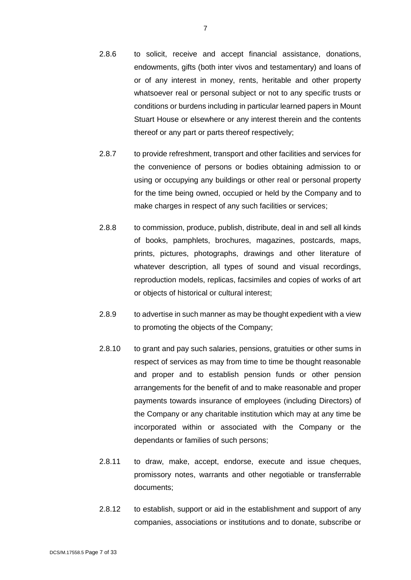- 2.8.6 to solicit, receive and accept financial assistance, donations, endowments, gifts (both inter vivos and testamentary) and loans of or of any interest in money, rents, heritable and other property whatsoever real or personal subject or not to any specific trusts or conditions or burdens including in particular learned papers in Mount Stuart House or elsewhere or any interest therein and the contents thereof or any part or parts thereof respectively;
- 2.8.7 to provide refreshment, transport and other facilities and services for the convenience of persons or bodies obtaining admission to or using or occupying any buildings or other real or personal property for the time being owned, occupied or held by the Company and to make charges in respect of any such facilities or services;
- 2.8.8 to commission, produce, publish, distribute, deal in and sell all kinds of books, pamphlets, brochures, magazines, postcards, maps, prints, pictures, photographs, drawings and other literature of whatever description, all types of sound and visual recordings, reproduction models, replicas, facsimiles and copies of works of art or objects of historical or cultural interest;
- 2.8.9 to advertise in such manner as may be thought expedient with a view to promoting the objects of the Company;
- 2.8.10 to grant and pay such salaries, pensions, gratuities or other sums in respect of services as may from time to time be thought reasonable and proper and to establish pension funds or other pension arrangements for the benefit of and to make reasonable and proper payments towards insurance of employees (including Directors) of the Company or any charitable institution which may at any time be incorporated within or associated with the Company or the dependants or families of such persons;
- 2.8.11 to draw, make, accept, endorse, execute and issue cheques, promissory notes, warrants and other negotiable or transferrable documents;
- 2.8.12 to establish, support or aid in the establishment and support of any companies, associations or institutions and to donate, subscribe or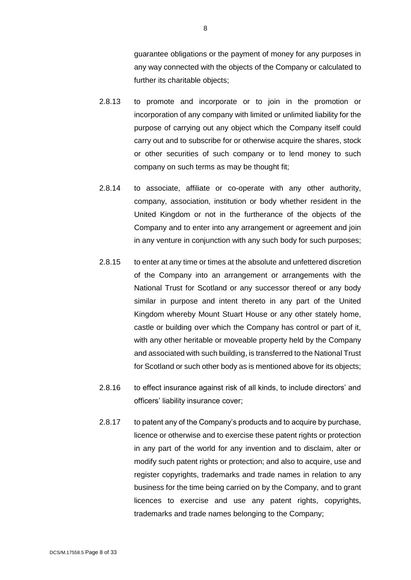guarantee obligations or the payment of money for any purposes in any way connected with the objects of the Company or calculated to further its charitable objects;

- 2.8.13 to promote and incorporate or to join in the promotion or incorporation of any company with limited or unlimited liability for the purpose of carrying out any object which the Company itself could carry out and to subscribe for or otherwise acquire the shares, stock or other securities of such company or to lend money to such company on such terms as may be thought fit;
- 2.8.14 to associate, affiliate or co-operate with any other authority, company, association, institution or body whether resident in the United Kingdom or not in the furtherance of the objects of the Company and to enter into any arrangement or agreement and join in any venture in conjunction with any such body for such purposes;
- 2.8.15 to enter at any time or times at the absolute and unfettered discretion of the Company into an arrangement or arrangements with the National Trust for Scotland or any successor thereof or any body similar in purpose and intent thereto in any part of the United Kingdom whereby Mount Stuart House or any other stately home, castle or building over which the Company has control or part of it, with any other heritable or moveable property held by the Company and associated with such building, is transferred to the National Trust for Scotland or such other body as is mentioned above for its objects;
- 2.8.16 to effect insurance against risk of all kinds, to include directors' and officers' liability insurance cover;
- 2.8.17 to patent any of the Company's products and to acquire by purchase, licence or otherwise and to exercise these patent rights or protection in any part of the world for any invention and to disclaim, alter or modify such patent rights or protection; and also to acquire, use and register copyrights, trademarks and trade names in relation to any business for the time being carried on by the Company, and to grant licences to exercise and use any patent rights, copyrights, trademarks and trade names belonging to the Company;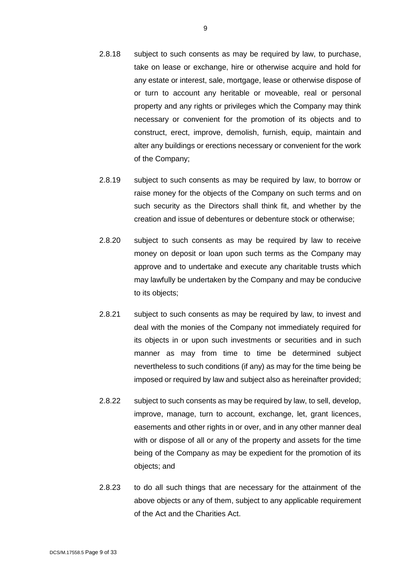- 2.8.18 subject to such consents as may be required by law, to purchase, take on lease or exchange, hire or otherwise acquire and hold for any estate or interest, sale, mortgage, lease or otherwise dispose of or turn to account any heritable or moveable, real or personal property and any rights or privileges which the Company may think necessary or convenient for the promotion of its objects and to construct, erect, improve, demolish, furnish, equip, maintain and alter any buildings or erections necessary or convenient for the work of the Company;
- 2.8.19 subject to such consents as may be required by law, to borrow or raise money for the objects of the Company on such terms and on such security as the Directors shall think fit, and whether by the creation and issue of debentures or debenture stock or otherwise;
- 2.8.20 subject to such consents as may be required by law to receive money on deposit or loan upon such terms as the Company may approve and to undertake and execute any charitable trusts which may lawfully be undertaken by the Company and may be conducive to its objects;
- 2.8.21 subject to such consents as may be required by law, to invest and deal with the monies of the Company not immediately required for its objects in or upon such investments or securities and in such manner as may from time to time be determined subject nevertheless to such conditions (if any) as may for the time being be imposed or required by law and subject also as hereinafter provided;
- 2.8.22 subject to such consents as may be required by law, to sell, develop, improve, manage, turn to account, exchange, let, grant licences, easements and other rights in or over, and in any other manner deal with or dispose of all or any of the property and assets for the time being of the Company as may be expedient for the promotion of its objects; and
- 2.8.23 to do all such things that are necessary for the attainment of the above objects or any of them, subject to any applicable requirement of the Act and the Charities Act.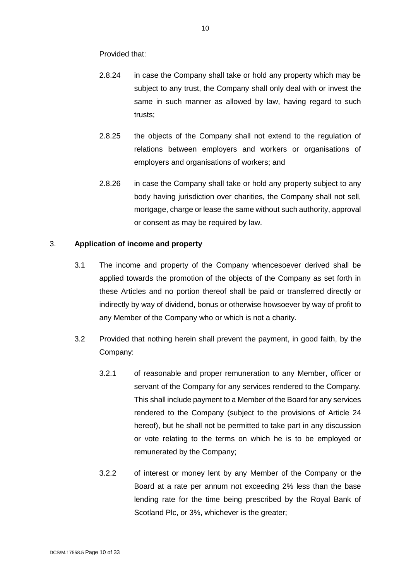Provided that:

- 2.8.24 in case the Company shall take or hold any property which may be subject to any trust, the Company shall only deal with or invest the same in such manner as allowed by law, having regard to such trusts;
- 2.8.25 the objects of the Company shall not extend to the regulation of relations between employers and workers or organisations of employers and organisations of workers; and
- 2.8.26 in case the Company shall take or hold any property subject to any body having jurisdiction over charities, the Company shall not sell, mortgage, charge or lease the same without such authority, approval or consent as may be required by law.

## 3. **Application of income and property**

- 3.1 The income and property of the Company whencesoever derived shall be applied towards the promotion of the objects of the Company as set forth in these Articles and no portion thereof shall be paid or transferred directly or indirectly by way of dividend, bonus or otherwise howsoever by way of profit to any Member of the Company who or which is not a charity.
- 3.2 Provided that nothing herein shall prevent the payment, in good faith, by the Company:
	- 3.2.1 of reasonable and proper remuneration to any Member, officer or servant of the Company for any services rendered to the Company. This shall include payment to a Member of the Board for any services rendered to the Company (subject to the provisions of Article 24 hereof), but he shall not be permitted to take part in any discussion or vote relating to the terms on which he is to be employed or remunerated by the Company;
	- 3.2.2 of interest or money lent by any Member of the Company or the Board at a rate per annum not exceeding 2% less than the base lending rate for the time being prescribed by the Royal Bank of Scotland Plc, or 3%, whichever is the greater;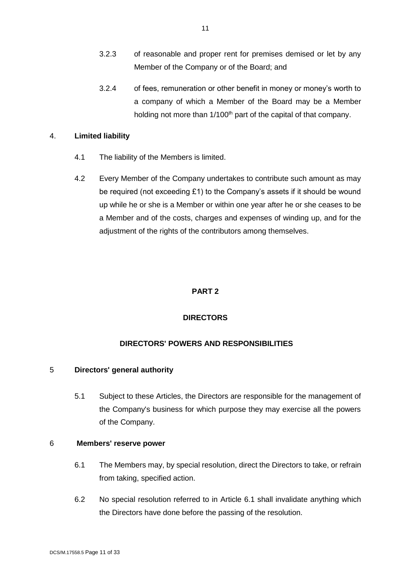- 3.2.3 of reasonable and proper rent for premises demised or let by any Member of the Company or of the Board; and
- 3.2.4 of fees, remuneration or other benefit in money or money's worth to a company of which a Member of the Board may be a Member holding not more than 1/100<sup>th</sup> part of the capital of that company.

### 4. **Limited liability**

- 4.1 The liability of the Members is limited.
- 4.2 Every Member of the Company undertakes to contribute such amount as may be required (not exceeding £1) to the Company's assets if it should be wound up while he or she is a Member or within one year after he or she ceases to be a Member and of the costs, charges and expenses of winding up, and for the adjustment of the rights of the contributors among themselves.

# **PART 2**

# **DIRECTORS**

# **DIRECTORS' POWERS AND RESPONSIBILITIES**

## 5 **Directors' general authority**

5.1 Subject to these Articles, the Directors are responsible for the management of the Company's business for which purpose they may exercise all the powers of the Company.

## 6 **Members' reserve power**

- 6.1 The Members may, by special resolution, direct the Directors to take, or refrain from taking, specified action.
- 6.2 No special resolution referred to in Article 6.1 shall invalidate anything which the Directors have done before the passing of the resolution.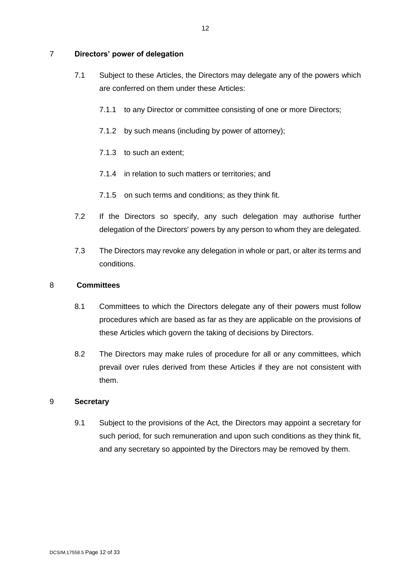## 7 **Directors' power of delegation**

- 7.1 Subject to these Articles, the Directors may delegate any of the powers which are conferred on them under these Articles:
	- 7.1.1 to any Director or committee consisting of one or more Directors;
	- 7.1.2 by such means (including by power of attorney);
	- 7.1.3 to such an extent;
	- 7.1.4 in relation to such matters or territories; and
	- 7.1.5 on such terms and conditions; as they think fit.
- 7.2 If the Directors so specify, any such delegation may authorise further delegation of the Directors' powers by any person to whom they are delegated.
- 7.3 The Directors may revoke any delegation in whole or part, or alter its terms and conditions.

## 8 **Committees**

- 8.1 Committees to which the Directors delegate any of their powers must follow procedures which are based as far as they are applicable on the provisions of these Articles which govern the taking of decisions by Directors.
- 8.2 The Directors may make rules of procedure for all or any committees, which prevail over rules derived from these Articles if they are not consistent with them.

## 9 **Secretary**

9.1 Subject to the provisions of the Act, the Directors may appoint a secretary for such period, for such remuneration and upon such conditions as they think fit, and any secretary so appointed by the Directors may be removed by them.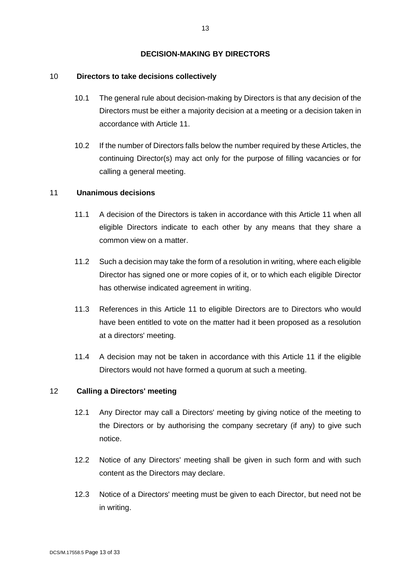### **DECISION-MAKING BY DIRECTORS**

### 10 **Directors to take decisions collectively**

- 10.1 The general rule about decision-making by Directors is that any decision of the Directors must be either a majority decision at a meeting or a decision taken in accordance with Article 11.
- 10.2 If the number of Directors falls below the number required by these Articles, the continuing Director(s) may act only for the purpose of filling vacancies or for calling a general meeting.

### 11 **Unanimous decisions**

- 11.1 A decision of the Directors is taken in accordance with this Article 11 when all eligible Directors indicate to each other by any means that they share a common view on a matter.
- 11.2 Such a decision may take the form of a resolution in writing, where each eligible Director has signed one or more copies of it, or to which each eligible Director has otherwise indicated agreement in writing.
- 11.3 References in this Article 11 to eligible Directors are to Directors who would have been entitled to vote on the matter had it been proposed as a resolution at a directors' meeting.
- 11.4 A decision may not be taken in accordance with this Article 11 if the eligible Directors would not have formed a quorum at such a meeting.

## 12 **Calling a Directors' meeting**

- 12.1 Any Director may call a Directors' meeting by giving notice of the meeting to the Directors or by authorising the company secretary (if any) to give such notice.
- 12.2 Notice of any Directors' meeting shall be given in such form and with such content as the Directors may declare.
- 12.3 Notice of a Directors' meeting must be given to each Director, but need not be in writing.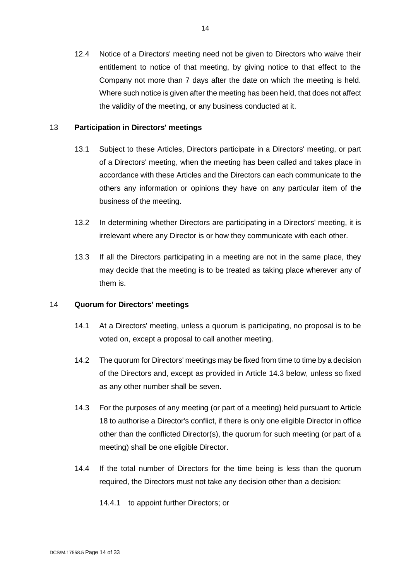12.4 Notice of a Directors' meeting need not be given to Directors who waive their entitlement to notice of that meeting, by giving notice to that effect to the Company not more than 7 days after the date on which the meeting is held. Where such notice is given after the meeting has been held, that does not affect the validity of the meeting, or any business conducted at it.

### 13 **Participation in Directors' meetings**

- 13.1 Subject to these Articles, Directors participate in a Directors' meeting, or part of a Directors' meeting, when the meeting has been called and takes place in accordance with these Articles and the Directors can each communicate to the others any information or opinions they have on any particular item of the business of the meeting.
- 13.2 In determining whether Directors are participating in a Directors' meeting, it is irrelevant where any Director is or how they communicate with each other.
- 13.3 If all the Directors participating in a meeting are not in the same place, they may decide that the meeting is to be treated as taking place wherever any of them is.

### 14 **Quorum for Directors' meetings**

- 14.1 At a Directors' meeting, unless a quorum is participating, no proposal is to be voted on, except a proposal to call another meeting.
- 14.2 The quorum for Directors' meetings may be fixed from time to time by a decision of the Directors and, except as provided in Article 14.3 below, unless so fixed as any other number shall be seven.
- 14.3 For the purposes of any meeting (or part of a meeting) held pursuant to Article 18 to authorise a Director's conflict, if there is only one eligible Director in office other than the conflicted Director(s), the quorum for such meeting (or part of a meeting) shall be one eligible Director.
- 14.4 If the total number of Directors for the time being is less than the quorum required, the Directors must not take any decision other than a decision:

14.4.1 to appoint further Directors; or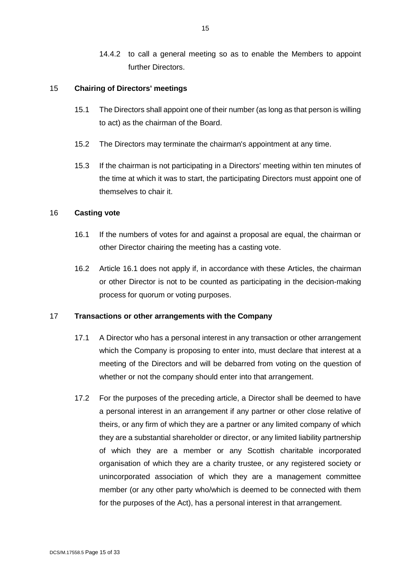14.4.2 to call a general meeting so as to enable the Members to appoint further Directors.

### 15 **Chairing of Directors' meetings**

- 15.1 The Directors shall appoint one of their number (as long as that person is willing to act) as the chairman of the Board.
- 15.2 The Directors may terminate the chairman's appointment at any time.
- 15.3 If the chairman is not participating in a Directors' meeting within ten minutes of the time at which it was to start, the participating Directors must appoint one of themselves to chair it.

### 16 **Casting vote**

- 16.1 If the numbers of votes for and against a proposal are equal, the chairman or other Director chairing the meeting has a casting vote.
- 16.2 Article 16.1 does not apply if, in accordance with these Articles, the chairman or other Director is not to be counted as participating in the decision-making process for quorum or voting purposes.

### <span id="page-14-1"></span>17 **Transactions or other arrangements with the Company**

- 17.1 A Director who has a personal interest in any transaction or other arrangement which the Company is proposing to enter into, must declare that interest at a meeting of the Directors and will be debarred from voting on the question of whether or not the company should enter into that arrangement.
- <span id="page-14-0"></span>17.2 For the purposes of the preceding article, a Director shall be deemed to have a personal interest in an arrangement if any partner or other close relative of theirs, or any firm of which they are a partner or any limited company of which they are a substantial shareholder or director, or any limited liability partnership of which they are a member or any Scottish charitable incorporated organisation of which they are a charity trustee, or any registered society or unincorporated association of which they are a management committee member (or any other party who/which is deemed to be connected with them for the purposes of the Act), has a personal interest in that arrangement.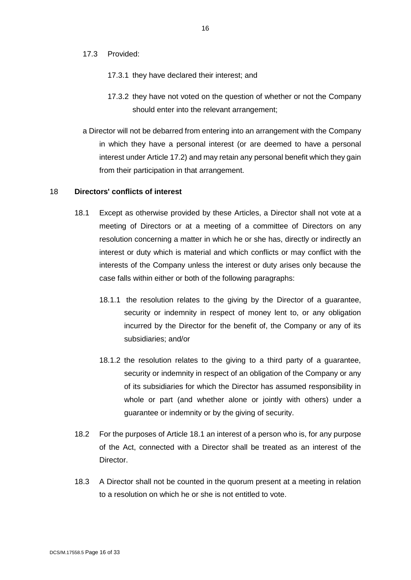#### 17.3 Provided:

- 17.3.1 they have declared their interest; and
- 17.3.2 they have not voted on the question of whether or not the Company should enter into the relevant arrangement;
- a Director will not be debarred from entering into an arrangement with the Company in which they have a personal interest (or are deemed to have a personal interest under Article [17.2\)](#page-14-0) and may retain any personal benefit which they gain from their participation in that arrangement.

#### 18 **Directors' conflicts of interest**

- 18.1 Except as otherwise provided by these Articles, a Director shall not vote at a meeting of Directors or at a meeting of a committee of Directors on any resolution concerning a matter in which he or she has, directly or indirectly an interest or duty which is material and which conflicts or may conflict with the interests of the Company unless the interest or duty arises only because the case falls within either or both of the following paragraphs:
	- 18.1.1 the resolution relates to the giving by the Director of a guarantee, security or indemnity in respect of money lent to, or any obligation incurred by the Director for the benefit of, the Company or any of its subsidiaries; and/or
	- 18.1.2 the resolution relates to the giving to a third party of a guarantee, security or indemnity in respect of an obligation of the Company or any of its subsidiaries for which the Director has assumed responsibility in whole or part (and whether alone or jointly with others) under a guarantee or indemnity or by the giving of security.
- 18.2 For the purposes of Article 18.1 an interest of a person who is, for any purpose of the Act, connected with a Director shall be treated as an interest of the Director.
- 18.3 A Director shall not be counted in the quorum present at a meeting in relation to a resolution on which he or she is not entitled to vote.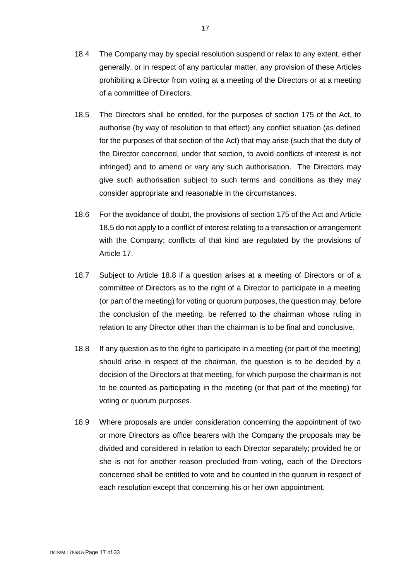- 18.4 The Company may by special resolution suspend or relax to any extent, either generally, or in respect of any particular matter, any provision of these Articles prohibiting a Director from voting at a meeting of the Directors or at a meeting of a committee of Directors.
- <span id="page-16-0"></span>18.5 The Directors shall be entitled, for the purposes of section 175 of the Act, to authorise (by way of resolution to that effect) any conflict situation (as defined for the purposes of that section of the Act) that may arise (such that the duty of the Director concerned, under that section, to avoid conflicts of interest is not infringed) and to amend or vary any such authorisation. The Directors may give such authorisation subject to such terms and conditions as they may consider appropriate and reasonable in the circumstances.
- 18.6 For the avoidance of doubt, the provisions of section 175 of the Act and Article [18.5](#page-16-0) do not apply to a conflict of interest relating to a transaction or arrangement with the Company; conflicts of that kind are regulated by the provisions of Article [17.](#page-14-1)
- 18.7 Subject to Article [18.8](#page-16-1) if a question arises at a meeting of Directors or of a committee of Directors as to the right of a Director to participate in a meeting (or part of the meeting) for voting or quorum purposes, the question may, before the conclusion of the meeting, be referred to the chairman whose ruling in relation to any Director other than the chairman is to be final and conclusive.
- <span id="page-16-1"></span>18.8 If any question as to the right to participate in a meeting (or part of the meeting) should arise in respect of the chairman, the question is to be decided by a decision of the Directors at that meeting, for which purpose the chairman is not to be counted as participating in the meeting (or that part of the meeting) for voting or quorum purposes.
- 18.9 Where proposals are under consideration concerning the appointment of two or more Directors as office bearers with the Company the proposals may be divided and considered in relation to each Director separately; provided he or she is not for another reason precluded from voting, each of the Directors concerned shall be entitled to vote and be counted in the quorum in respect of each resolution except that concerning his or her own appointment.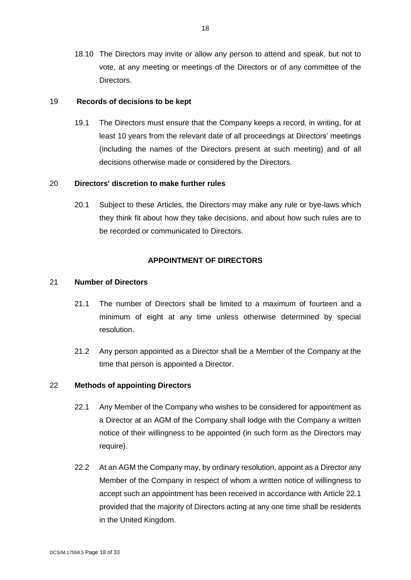18.10 The Directors may invite or allow any person to attend and speak, but not to vote, at any meeting or meetings of the Directors or of any committee of the Directors.

### 19 **Records of decisions to be kept**

19.1 The Directors must ensure that the Company keeps a record, in writing, for at least 10 years from the relevant date of all proceedings at Directors' meetings (including the names of the Directors present at such meeting) and of all decisions otherwise made or considered by the Directors.

### 20 **Directors' discretion to make further rules**

20.1 Subject to these Articles, the Directors may make any rule or bye-laws which they think fit about how they take decisions, and about how such rules are to be recorded or communicated to Directors.

### **APPOINTMENT OF DIRECTORS**

### 21 **Number of Directors**

- 21.1 The number of Directors shall be limited to a maximum of fourteen and a minimum of eight at any time unless otherwise determined by special resolution.
- 21.2 Any person appointed as a Director shall be a Member of the Company at the time that person is appointed a Director.

## 22 **Methods of appointing Directors**

- 22.1 Any Member of the Company who wishes to be considered for appointment as a Director at an AGM of the Company shall lodge with the Company a written notice of their willingness to be appointed (in such form as the Directors may require).
- 22.2 At an AGM the Company may, by ordinary resolution, appoint as a Director any Member of the Company in respect of whom a written notice of willingness to accept such an appointment has been received in accordance with Article 22.1 provided that the majority of Directors acting at any one time shall be residents in the United Kingdom.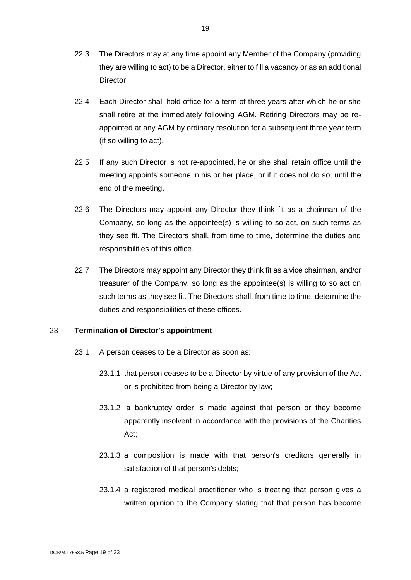- 22.3 The Directors may at any time appoint any Member of the Company (providing they are willing to act) to be a Director, either to fill a vacancy or as an additional Director.
- 22.4 Each Director shall hold office for a term of three years after which he or she shall retire at the immediately following AGM. Retiring Directors may be reappointed at any AGM by ordinary resolution for a subsequent three year term (if so willing to act).
- 22.5 If any such Director is not re-appointed, he or she shall retain office until the meeting appoints someone in his or her place, or if it does not do so, until the end of the meeting.
- 22.6 The Directors may appoint any Director they think fit as a chairman of the Company, so long as the appointee(s) is willing to so act, on such terms as they see fit. The Directors shall, from time to time, determine the duties and responsibilities of this office.
- 22.7 The Directors may appoint any Director they think fit as a vice chairman, and/or treasurer of the Company, so long as the appointee(s) is willing to so act on such terms as they see fit. The Directors shall, from time to time, determine the duties and responsibilities of these offices.

## 23 **Termination of Director's appointment**

- 23.1 A person ceases to be a Director as soon as:
	- 23.1.1 that person ceases to be a Director by virtue of any provision of the Act or is prohibited from being a Director by law;
	- 23.1.2 a bankruptcy order is made against that person or they become apparently insolvent in accordance with the provisions of the Charities Act;
	- 23.1.3 a composition is made with that person's creditors generally in satisfaction of that person's debts;
	- 23.1.4 a registered medical practitioner who is treating that person gives a written opinion to the Company stating that that person has become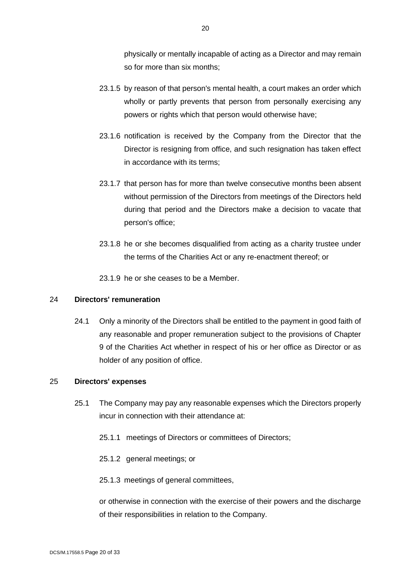physically or mentally incapable of acting as a Director and may remain so for more than six months;

- 23.1.5 by reason of that person's mental health, a court makes an order which wholly or partly prevents that person from personally exercising any powers or rights which that person would otherwise have;
- 23.1.6 notification is received by the Company from the Director that the Director is resigning from office, and such resignation has taken effect in accordance with its terms;
- 23.1.7 that person has for more than twelve consecutive months been absent without permission of the Directors from meetings of the Directors held during that period and the Directors make a decision to vacate that person's office;
- 23.1.8 he or she becomes disqualified from acting as a charity trustee under the terms of the Charities Act or any re-enactment thereof; or
- 23.1.9 he or she ceases to be a Member.

### 24 **Directors' remuneration**

24.1 Only a minority of the Directors shall be entitled to the payment in good faith of any reasonable and proper remuneration subject to the provisions of Chapter 9 of the Charities Act whether in respect of his or her office as Director or as holder of any position of office.

### 25 **Directors' expenses**

- 25.1 The Company may pay any reasonable expenses which the Directors properly incur in connection with their attendance at:
	- 25.1.1 meetings of Directors or committees of Directors;
	- 25.1.2 general meetings; or
	- 25.1.3 meetings of general committees,

or otherwise in connection with the exercise of their powers and the discharge of their responsibilities in relation to the Company.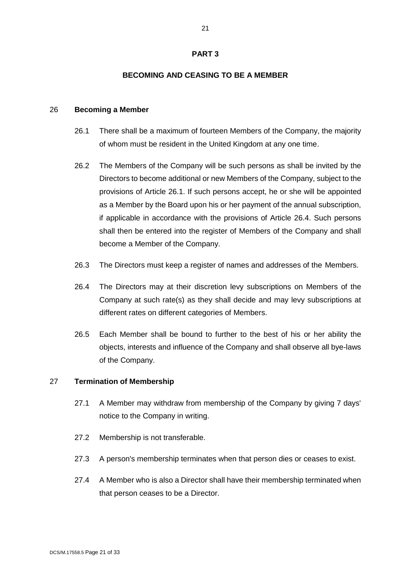### **PART 3**

#### **BECOMING AND CEASING TO BE A MEMBER**

#### 26 **Becoming a Member**

- 26.1 There shall be a maximum of fourteen Members of the Company, the majority of whom must be resident in the United Kingdom at any one time.
- 26.2 The Members of the Company will be such persons as shall be invited by the Directors to become additional or new Members of the Company, subject to the provisions of Article 26.1. If such persons accept, he or she will be appointed as a Member by the Board upon his or her payment of the annual subscription, if applicable in accordance with the provisions of Article 26.4. Such persons shall then be entered into the register of Members of the Company and shall become a Member of the Company.
- 26.3 The Directors must keep a register of names and addresses of the Members.
- 26.4 The Directors may at their discretion levy subscriptions on Members of the Company at such rate(s) as they shall decide and may levy subscriptions at different rates on different categories of Members.
- 26.5 Each Member shall be bound to further to the best of his or her ability the objects, interests and influence of the Company and shall observe all bye-laws of the Company.

### 27 **Termination of Membership**

- 27.1 A Member may withdraw from membership of the Company by giving 7 days' notice to the Company in writing.
- 27.2 Membership is not transferable.
- 27.3 A person's membership terminates when that person dies or ceases to exist.
- 27.4 A Member who is also a Director shall have their membership terminated when that person ceases to be a Director.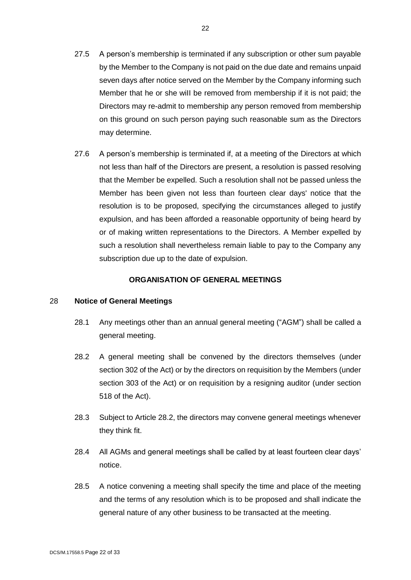- 27.5 A person's membership is terminated if any subscription or other sum payable by the Member to the Company is not paid on the due date and remains unpaid seven days after notice served on the Member by the Company informing such Member that he or she wiII be removed from membership if it is not paid; the Directors may re-admit to membership any person removed from membership on this ground on such person paying such reasonable sum as the Directors may determine.
- 27.6 A person's membership is terminated if, at a meeting of the Directors at which not less than half of the Directors are present, a resolution is passed resolving that the Member be expelled. Such a resolution shall not be passed unless the Member has been given not less than fourteen clear days' notice that the resolution is to be proposed, specifying the circumstances alleged to justify expulsion, and has been afforded a reasonable opportunity of being heard by or of making written representations to the Directors. A Member expelled by such a resolution shall nevertheless remain liable to pay to the Company any subscription due up to the date of expulsion.

### **ORGANISATION OF GENERAL MEETINGS**

### 28 **Notice of General Meetings**

- 28.1 Any meetings other than an annual general meeting ("AGM") shall be called a general meeting.
- 28.2 A general meeting shall be convened by the directors themselves (under section 302 of the Act) or by the directors on requisition by the Members (under section 303 of the Act) or on requisition by a resigning auditor (under section 518 of the Act).
- 28.3 Subject to Article 28.2, the directors may convene general meetings whenever they think fit.
- 28.4 All AGMs and general meetings shall be called by at least fourteen clear days' notice.
- 28.5 A notice convening a meeting shall specify the time and place of the meeting and the terms of any resolution which is to be proposed and shall indicate the general nature of any other business to be transacted at the meeting.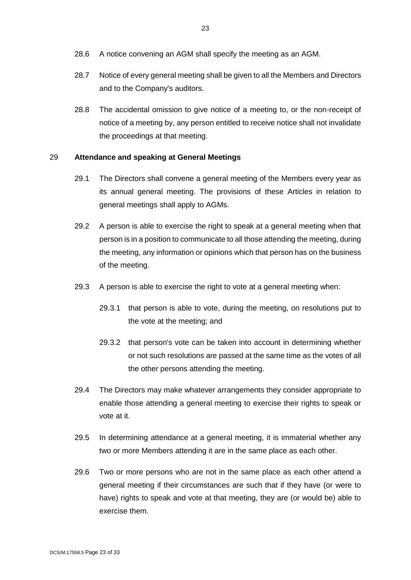- 28.6 A notice convening an AGM shall specify the meeting as an AGM.
- 28.7 Notice of every general meeting shall be given to all the Members and Directors and to the Company's auditors.
- 28.8 The accidental omission to give notice of a meeting to, or the non-receipt of notice of a meeting by, any person entitled to receive notice shall not invalidate the proceedings at that meeting.

### 29 **Attendance and speaking at General Meetings**

- 29.1 The Directors shall convene a general meeting of the Members every year as its annual general meeting. The provisions of these Articles in relation to general meetings shall apply to AGMs.
- 29.2 A person is able to exercise the right to speak at a general meeting when that person is in a position to communicate to all those attending the meeting, during the meeting, any information or opinions which that person has on the business of the meeting.
- 29.3 A person is able to exercise the right to vote at a general meeting when:
	- 29.3.1 that person is able to vote, during the meeting, on resolutions put to the vote at the meeting; and
	- 29.3.2 that person's vote can be taken into account in determining whether or not such resolutions are passed at the same time as the votes of all the other persons attending the meeting.
- 29.4 The Directors may make whatever arrangements they consider appropriate to enable those attending a general meeting to exercise their rights to speak or vote at it.
- 29.5 In determining attendance at a general meeting, it is immaterial whether any two or more Members attending it are in the same place as each other.
- 29.6 Two or more persons who are not in the same place as each other attend a general meeting if their circumstances are such that if they have (or were to have) rights to speak and vote at that meeting, they are (or would be) able to exercise them.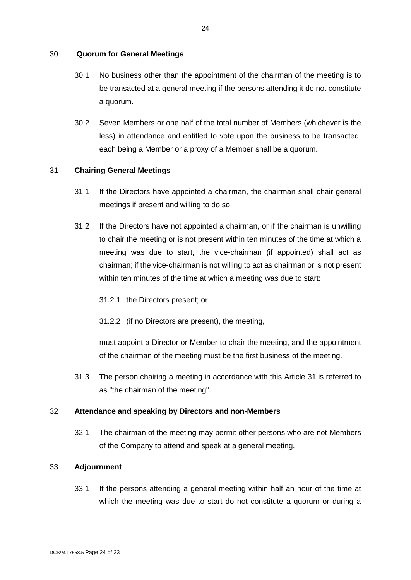### 30 **Quorum for General Meetings**

- 30.1 No business other than the appointment of the chairman of the meeting is to be transacted at a general meeting if the persons attending it do not constitute a quorum.
- 30.2 Seven Members or one half of the total number of Members (whichever is the less) in attendance and entitled to vote upon the business to be transacted, each being a Member or a proxy of a Member shall be a quorum.

### 31 **Chairing General Meetings**

- 31.1 If the Directors have appointed a chairman, the chairman shall chair general meetings if present and willing to do so.
- 31.2 If the Directors have not appointed a chairman, or if the chairman is unwilling to chair the meeting or is not present within ten minutes of the time at which a meeting was due to start, the vice-chairman (if appointed) shall act as chairman; if the vice-chairman is not willing to act as chairman or is not present within ten minutes of the time at which a meeting was due to start:
	- 31.2.1 the Directors present; or
	- 31.2.2 (if no Directors are present), the meeting,

must appoint a Director or Member to chair the meeting, and the appointment of the chairman of the meeting must be the first business of the meeting.

31.3 The person chairing a meeting in accordance with this Article 31 is referred to as "the chairman of the meeting".

### 32 **Attendance and speaking by Directors and non-Members**

32.1 The chairman of the meeting may permit other persons who are not Members of the Company to attend and speak at a general meeting.

### 33 **Adjournment**

33.1 If the persons attending a general meeting within half an hour of the time at which the meeting was due to start do not constitute a quorum or during a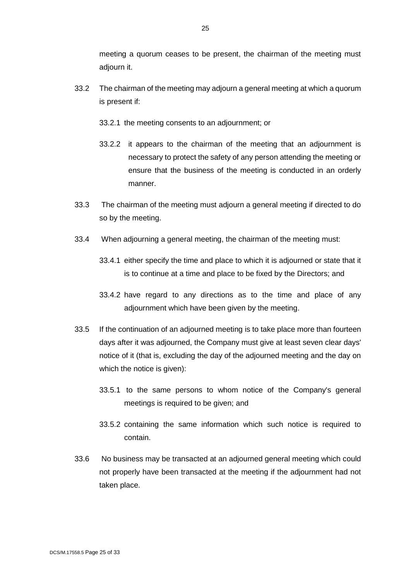meeting a quorum ceases to be present, the chairman of the meeting must adjourn it.

- 33.2 The chairman of the meeting may adjourn a general meeting at which a quorum is present if:
	- 33.2.1 the meeting consents to an adjournment; or
	- 33.2.2 it appears to the chairman of the meeting that an adjournment is necessary to protect the safety of any person attending the meeting or ensure that the business of the meeting is conducted in an orderly manner.
- 33.3 The chairman of the meeting must adjourn a general meeting if directed to do so by the meeting.
- 33.4 When adjourning a general meeting, the chairman of the meeting must:
	- 33.4.1 either specify the time and place to which it is adjourned or state that it is to continue at a time and place to be fixed by the Directors; and
	- 33.4.2 have regard to any directions as to the time and place of any adjournment which have been given by the meeting.
- 33.5 If the continuation of an adjourned meeting is to take place more than fourteen days after it was adjourned, the Company must give at least seven clear days' notice of it (that is, excluding the day of the adjourned meeting and the day on which the notice is given):
	- 33.5.1 to the same persons to whom notice of the Company's general meetings is required to be given; and
	- 33.5.2 containing the same information which such notice is required to contain.
- 33.6 No business may be transacted at an adjourned general meeting which could not properly have been transacted at the meeting if the adjournment had not taken place.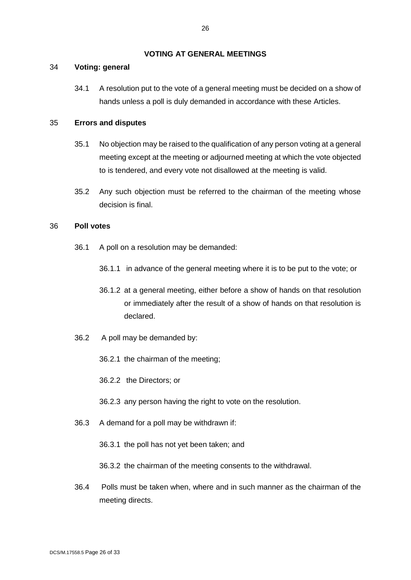### **VOTING AT GENERAL MEETINGS**

### 34 **Voting: general**

34.1 A resolution put to the vote of a general meeting must be decided on a show of hands unless a poll is duly demanded in accordance with these Articles.

### 35 **Errors and disputes**

- 35.1 No objection may be raised to the qualification of any person voting at a general meeting except at the meeting or adjourned meeting at which the vote objected to is tendered, and every vote not disallowed at the meeting is valid.
- 35.2 Any such objection must be referred to the chairman of the meeting whose decision is final.

#### 36 **Poll votes**

- 36.1 A poll on a resolution may be demanded:
	- 36.1.1 in advance of the general meeting where it is to be put to the vote; or
	- 36.1.2 at a general meeting, either before a show of hands on that resolution or immediately after the result of a show of hands on that resolution is declared.
- 36.2 A poll may be demanded by:
	- 36.2.1 the chairman of the meeting;
	- 36.2.2 the Directors; or
	- 36.2.3 any person having the right to vote on the resolution.
- 36.3 A demand for a poll may be withdrawn if:
	- 36.3.1 the poll has not yet been taken; and
	- 36.3.2 the chairman of the meeting consents to the withdrawal.
- 36.4 Polls must be taken when, where and in such manner as the chairman of the meeting directs.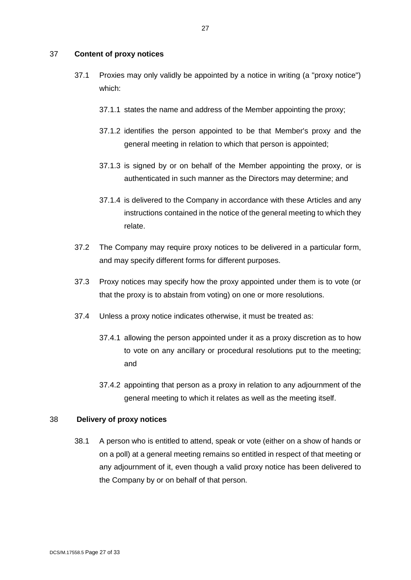### 37 **Content of proxy notices**

- 37.1 Proxies may only validly be appointed by a notice in writing (a "proxy notice") which:
	- 37.1.1 states the name and address of the Member appointing the proxy;
	- 37.1.2 identifies the person appointed to be that Member's proxy and the general meeting in relation to which that person is appointed;
	- 37.1.3 is signed by or on behalf of the Member appointing the proxy, or is authenticated in such manner as the Directors may determine; and
	- 37.1.4 is delivered to the Company in accordance with these Articles and any instructions contained in the notice of the general meeting to which they relate.
- 37.2 The Company may require proxy notices to be delivered in a particular form, and may specify different forms for different purposes.
- 37.3 Proxy notices may specify how the proxy appointed under them is to vote (or that the proxy is to abstain from voting) on one or more resolutions.
- 37.4 Unless a proxy notice indicates otherwise, it must be treated as:
	- 37.4.1 allowing the person appointed under it as a proxy discretion as to how to vote on any ancillary or procedural resolutions put to the meeting; and
	- 37.4.2 appointing that person as a proxy in relation to any adjournment of the general meeting to which it relates as well as the meeting itself.

## 38 **Delivery of proxy notices**

38.1 A person who is entitled to attend, speak or vote (either on a show of hands or on a poll) at a general meeting remains so entitled in respect of that meeting or any adjournment of it, even though a valid proxy notice has been delivered to the Company by or on behalf of that person.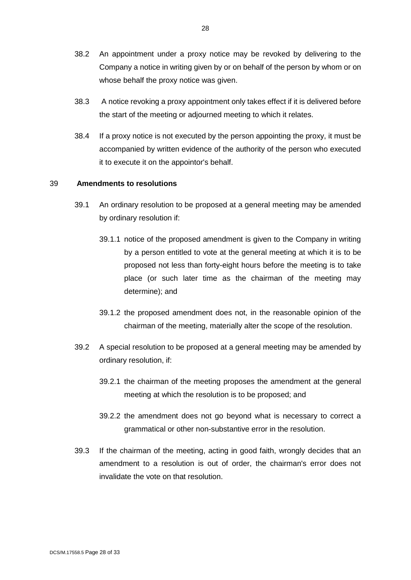- 38.2 An appointment under a proxy notice may be revoked by delivering to the Company a notice in writing given by or on behalf of the person by whom or on whose behalf the proxy notice was given.
- 38.3 A notice revoking a proxy appointment only takes effect if it is delivered before the start of the meeting or adjourned meeting to which it relates.
- 38.4 If a proxy notice is not executed by the person appointing the proxy, it must be accompanied by written evidence of the authority of the person who executed it to execute it on the appointor's behalf.

### 39 **Amendments to resolutions**

- 39.1 An ordinary resolution to be proposed at a general meeting may be amended by ordinary resolution if:
	- 39.1.1 notice of the proposed amendment is given to the Company in writing by a person entitled to vote at the general meeting at which it is to be proposed not less than forty-eight hours before the meeting is to take place (or such later time as the chairman of the meeting may determine); and
	- 39.1.2 the proposed amendment does not, in the reasonable opinion of the chairman of the meeting, materially alter the scope of the resolution.
- 39.2 A special resolution to be proposed at a general meeting may be amended by ordinary resolution, if:
	- 39.2.1 the chairman of the meeting proposes the amendment at the general meeting at which the resolution is to be proposed; and
	- 39.2.2 the amendment does not go beyond what is necessary to correct a grammatical or other non-substantive error in the resolution.
- 39.3 If the chairman of the meeting, acting in good faith, wrongly decides that an amendment to a resolution is out of order, the chairman's error does not invalidate the vote on that resolution.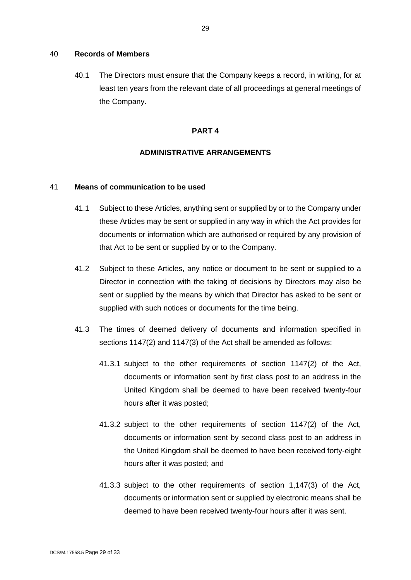#### 40 **Records of Members**

40.1 The Directors must ensure that the Company keeps a record, in writing, for at least ten years from the relevant date of all proceedings at general meetings of the Company.

#### **PART 4**

#### **ADMINISTRATIVE ARRANGEMENTS**

### 41 **Means of communication to be used**

- 41.1 Subject to these Articles, anything sent or supplied by or to the Company under these Articles may be sent or supplied in any way in which the Act provides for documents or information which are authorised or required by any provision of that Act to be sent or supplied by or to the Company.
- 41.2 Subject to these Articles, any notice or document to be sent or supplied to a Director in connection with the taking of decisions by Directors may also be sent or supplied by the means by which that Director has asked to be sent or supplied with such notices or documents for the time being.
- 41.3 The times of deemed delivery of documents and information specified in sections 1147(2) and 1147(3) of the Act shall be amended as follows:
	- 41.3.1 subject to the other requirements of section 1147(2) of the Act, documents or information sent by first class post to an address in the United Kingdom shall be deemed to have been received twenty-four hours after it was posted;
	- 41.3.2 subject to the other requirements of section 1147(2) of the Act, documents or information sent by second class post to an address in the United Kingdom shall be deemed to have been received forty-eight hours after it was posted; and
	- 41.3.3 subject to the other requirements of section 1,147(3) of the Act, documents or information sent or supplied by electronic means shall be deemed to have been received twenty-four hours after it was sent.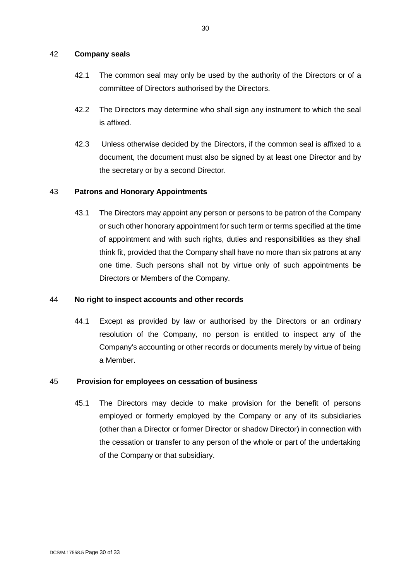### 42 **Company seals**

- 42.1 The common seal may only be used by the authority of the Directors or of a committee of Directors authorised by the Directors.
- 42.2 The Directors may determine who shall sign any instrument to which the seal is affixed.
- 42.3 Unless otherwise decided by the Directors, if the common seal is affixed to a document, the document must also be signed by at least one Director and by the secretary or by a second Director.

### 43 **Patrons and Honorary Appointments**

43.1 The Directors may appoint any person or persons to be patron of the Company or such other honorary appointment for such term or terms specified at the time of appointment and with such rights, duties and responsibilities as they shall think fit, provided that the Company shall have no more than six patrons at any one time. Such persons shall not by virtue only of such appointments be Directors or Members of the Company.

### 44 **No right to inspect accounts and other records**

44.1 Except as provided by law or authorised by the Directors or an ordinary resolution of the Company, no person is entitled to inspect any of the Company's accounting or other records or documents merely by virtue of being a Member.

### 45 **Provision for employees on cessation of business**

45.1 The Directors may decide to make provision for the benefit of persons employed or formerly employed by the Company or any of its subsidiaries (other than a Director or former Director or shadow Director) in connection with the cessation or transfer to any person of the whole or part of the undertaking of the Company or that subsidiary.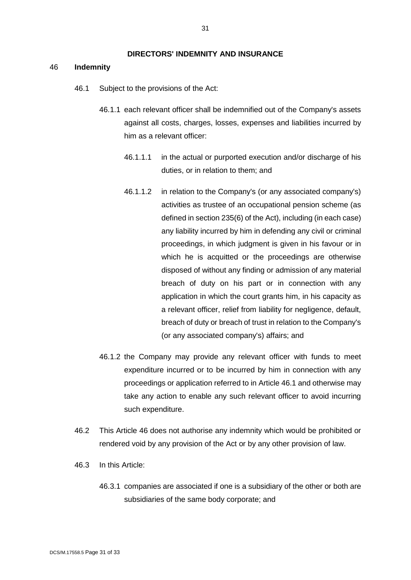#### **DIRECTORS' INDEMNITY AND INSURANCE**

#### 46 **Indemnity**

- 46.1 Subject to the provisions of the Act:
	- 46.1.1 each relevant officer shall be indemnified out of the Company's assets against all costs, charges, losses, expenses and liabilities incurred by him as a relevant officer:
		- 46.1.1.1 in the actual or purported execution and/or discharge of his duties, or in relation to them; and
		- 46.1.1.2 in relation to the Company's (or any associated company's) activities as trustee of an occupational pension scheme (as defined in section 235(6) of the Act), including (in each case) any liability incurred by him in defending any civil or criminal proceedings, in which judgment is given in his favour or in which he is acquitted or the proceedings are otherwise disposed of without any finding or admission of any material breach of duty on his part or in connection with any application in which the court grants him, in his capacity as a relevant officer, relief from liability for negligence, default, breach of duty or breach of trust in relation to the Company's (or any associated company's) affairs; and
	- 46.1.2 the Company may provide any relevant officer with funds to meet expenditure incurred or to be incurred by him in connection with any proceedings or application referred to in Article 46.1 and otherwise may take any action to enable any such relevant officer to avoid incurring such expenditure.
- 46.2 This Article 46 does not authorise any indemnity which would be prohibited or rendered void by any provision of the Act or by any other provision of law.
- 46.3 In this Article:
	- 46.3.1 companies are associated if one is a subsidiary of the other or both are subsidiaries of the same body corporate; and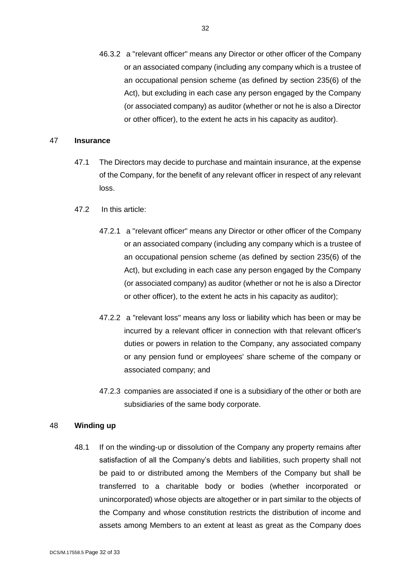46.3.2 a "relevant officer" means any Director or other officer of the Company or an associated company (including any company which is a trustee of an occupational pension scheme (as defined by section 235(6) of the Act), but excluding in each case any person engaged by the Company (or associated company) as auditor (whether or not he is also a Director or other officer), to the extent he acts in his capacity as auditor).

### 47 **Insurance**

- 47.1 The Directors may decide to purchase and maintain insurance, at the expense of the Company, for the benefit of any relevant officer in respect of any relevant loss.
- 47.2 In this article:
	- 47.2.1 a "relevant officer" means any Director or other officer of the Company or an associated company (including any company which is a trustee of an occupational pension scheme (as defined by section 235(6) of the Act), but excluding in each case any person engaged by the Company (or associated company) as auditor (whether or not he is also a Director or other officer), to the extent he acts in his capacity as auditor);
	- 47.2.2 a "relevant loss" means any loss or liability which has been or may be incurred by a relevant officer in connection with that relevant officer's duties or powers in relation to the Company, any associated company or any pension fund or employees' share scheme of the company or associated company; and
	- 47.2.3 companies are associated if one is a subsidiary of the other or both are subsidiaries of the same body corporate.

#### 48 **Winding up**

48.1 If on the winding-up or dissolution of the Company any property remains after satisfaction of all the Company's debts and liabilities, such property shall not be paid to or distributed among the Members of the Company but shall be transferred to a charitable body or bodies (whether incorporated or unincorporated) whose objects are altogether or in part similar to the objects of the Company and whose constitution restricts the distribution of income and assets among Members to an extent at least as great as the Company does